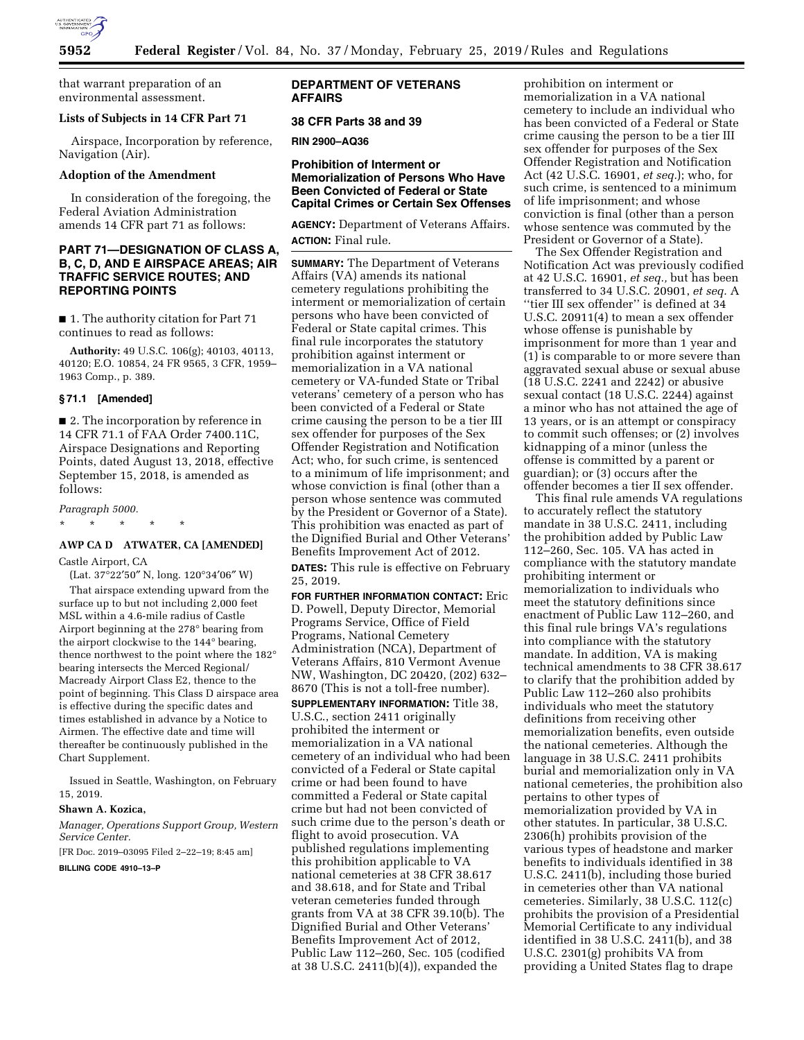

that warrant preparation of an environmental assessment.

#### **Lists of Subjects in 14 CFR Part 71**

Airspace, Incorporation by reference, Navigation (Air).

### **Adoption of the Amendment**

In consideration of the foregoing, the Federal Aviation Administration amends 14 CFR part 71 as follows:

## **PART 71—DESIGNATION OF CLASS A, B, C, D, AND E AIRSPACE AREAS; AIR TRAFFIC SERVICE ROUTES; AND REPORTING POINTS**

■ 1. The authority citation for Part 71 continues to read as follows:

**Authority:** 49 U.S.C. 106(g); 40103, 40113, 40120; E.O. 10854, 24 FR 9565, 3 CFR, 1959– 1963 Comp., p. 389.

### **§ 71.1 [Amended]**

■ 2. The incorporation by reference in 14 CFR 71.1 of FAA Order 7400.11C, Airspace Designations and Reporting Points, dated August 13, 2018, effective September 15, 2018, is amended as follows:

#### *Paragraph 5000.*

\* \* \* \* \*

# **AWP CA D ATWATER, CA [AMENDED]**

Castle Airport, CA

(Lat. 37°22′50″ N, long. 120°34′06″ W) That airspace extending upward from the

surface up to but not including 2,000 feet MSL within a 4.6-mile radius of Castle Airport beginning at the 278° bearing from the airport clockwise to the 144° bearing, thence northwest to the point where the 182° bearing intersects the Merced Regional/ Macready Airport Class E2, thence to the point of beginning. This Class D airspace area is effective during the specific dates and times established in advance by a Notice to Airmen. The effective date and time will thereafter be continuously published in the Chart Supplement.

Issued in Seattle, Washington, on February 15, 2019.

#### **Shawn A. Kozica,**

*Manager, Operations Support Group, Western Service Center.* 

[FR Doc. 2019–03095 Filed 2–22–19; 8:45 am] **BILLING CODE 4910–13–P** 

## **DEPARTMENT OF VETERANS AFFAIRS**

#### **38 CFR Parts 38 and 39**

**RIN 2900–AQ36** 

## **Prohibition of Interment or Memorialization of Persons Who Have Been Convicted of Federal or State Capital Crimes or Certain Sex Offenses**

**AGENCY:** Department of Veterans Affairs. **ACTION:** Final rule.

**SUMMARY:** The Department of Veterans Affairs (VA) amends its national cemetery regulations prohibiting the interment or memorialization of certain persons who have been convicted of Federal or State capital crimes. This final rule incorporates the statutory prohibition against interment or memorialization in a VA national cemetery or VA-funded State or Tribal veterans' cemetery of a person who has been convicted of a Federal or State crime causing the person to be a tier III sex offender for purposes of the Sex Offender Registration and Notification Act; who, for such crime, is sentenced to a minimum of life imprisonment; and whose conviction is final (other than a person whose sentence was commuted by the President or Governor of a State). This prohibition was enacted as part of the Dignified Burial and Other Veterans' Benefits Improvement Act of 2012.

**DATES:** This rule is effective on February 25, 2019.

**FOR FURTHER INFORMATION CONTACT:** Eric D. Powell, Deputy Director, Memorial Programs Service, Office of Field Programs, National Cemetery Administration (NCA), Department of Veterans Affairs, 810 Vermont Avenue NW, Washington, DC 20420, (202) 632– 8670 (This is not a toll-free number).

**SUPPLEMENTARY INFORMATION:** Title 38, U.S.C., section 2411 originally prohibited the interment or memorialization in a VA national cemetery of an individual who had been convicted of a Federal or State capital crime or had been found to have committed a Federal or State capital crime but had not been convicted of such crime due to the person's death or flight to avoid prosecution. VA published regulations implementing this prohibition applicable to VA national cemeteries at 38 CFR 38.617 and 38.618, and for State and Tribal veteran cemeteries funded through grants from VA at 38 CFR 39.10(b). The Dignified Burial and Other Veterans' Benefits Improvement Act of 2012, Public Law 112–260, Sec. 105 (codified at 38 U.S.C. 2411(b)(4)), expanded the

prohibition on interment or memorialization in a VA national cemetery to include an individual who has been convicted of a Federal or State crime causing the person to be a tier III sex offender for purposes of the Sex Offender Registration and Notification Act (42 U.S.C. 16901, *et seq.*); who, for such crime, is sentenced to a minimum of life imprisonment; and whose conviction is final (other than a person whose sentence was commuted by the President or Governor of a State).

The Sex Offender Registration and Notification Act was previously codified at 42 U.S.C. 16901, *et seq.,* but has been transferred to 34 U.S.C. 20901, *et seq.* A ''tier III sex offender'' is defined at 34 U.S.C. 20911(4) to mean a sex offender whose offense is punishable by imprisonment for more than 1 year and (1) is comparable to or more severe than aggravated sexual abuse or sexual abuse (18 U.S.C. 2241 and 2242) or abusive sexual contact (18 U.S.C. 2244) against a minor who has not attained the age of 13 years, or is an attempt or conspiracy to commit such offenses; or (2) involves kidnapping of a minor (unless the offense is committed by a parent or guardian); or (3) occurs after the offender becomes a tier II sex offender.

This final rule amends VA regulations to accurately reflect the statutory mandate in 38 U.S.C. 2411, including the prohibition added by Public Law 112–260, Sec. 105. VA has acted in compliance with the statutory mandate prohibiting interment or memorialization to individuals who meet the statutory definitions since enactment of Public Law 112–260, and this final rule brings VA's regulations into compliance with the statutory mandate. In addition, VA is making technical amendments to 38 CFR 38.617 to clarify that the prohibition added by Public Law 112–260 also prohibits individuals who meet the statutory definitions from receiving other memorialization benefits, even outside the national cemeteries. Although the language in 38 U.S.C. 2411 prohibits burial and memorialization only in VA national cemeteries, the prohibition also pertains to other types of memorialization provided by VA in other statutes. In particular, 38 U.S.C. 2306(h) prohibits provision of the various types of headstone and marker benefits to individuals identified in 38 U.S.C. 2411(b), including those buried in cemeteries other than VA national cemeteries. Similarly, 38 U.S.C. 112(c) prohibits the provision of a Presidential Memorial Certificate to any individual identified in 38 U.S.C. 2411(b), and 38 U.S.C. 2301(g) prohibits VA from providing a United States flag to drape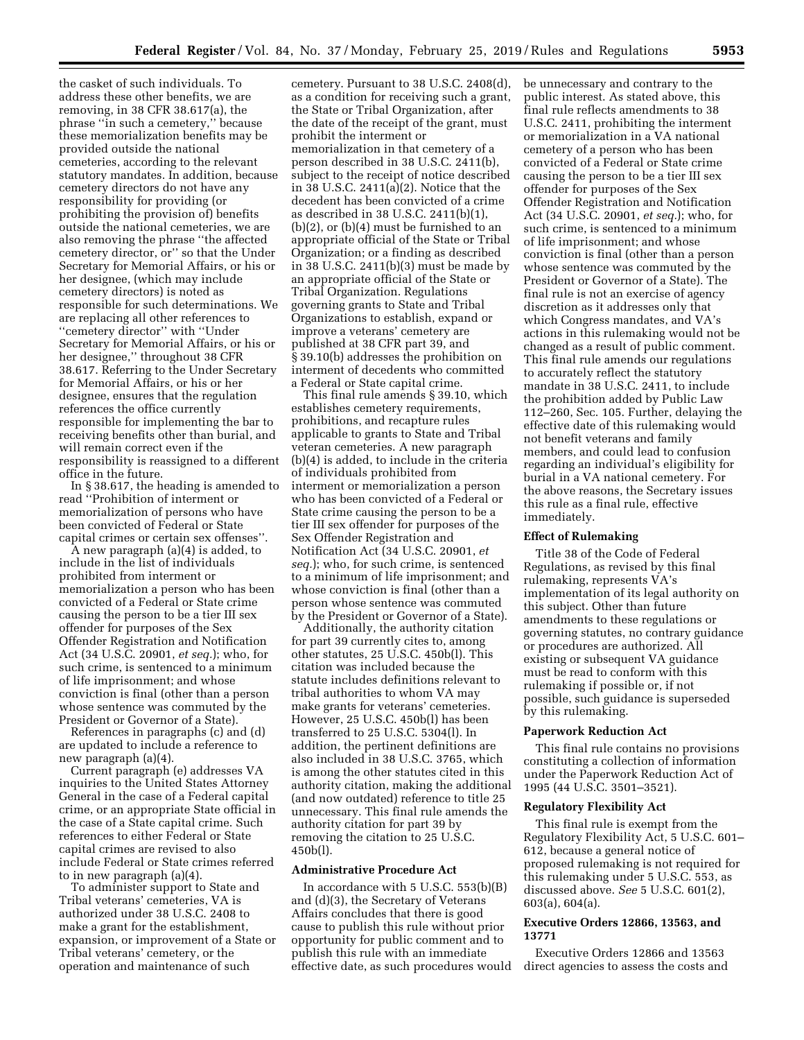the casket of such individuals. To address these other benefits, we are removing, in 38 CFR 38.617(a), the phrase ''in such a cemetery,'' because these memorialization benefits may be provided outside the national cemeteries, according to the relevant statutory mandates. In addition, because cemetery directors do not have any responsibility for providing (or prohibiting the provision of) benefits outside the national cemeteries, we are also removing the phrase ''the affected cemetery director, or'' so that the Under Secretary for Memorial Affairs, or his or her designee, (which may include cemetery directors) is noted as responsible for such determinations. We are replacing all other references to ''cemetery director'' with ''Under Secretary for Memorial Affairs, or his or her designee,'' throughout 38 CFR 38.617. Referring to the Under Secretary for Memorial Affairs, or his or her designee, ensures that the regulation references the office currently responsible for implementing the bar to receiving benefits other than burial, and will remain correct even if the responsibility is reassigned to a different office in the future.

In § 38.617, the heading is amended to read ''Prohibition of interment or memorialization of persons who have been convicted of Federal or State capital crimes or certain sex offenses''.

A new paragraph (a)(4) is added, to include in the list of individuals prohibited from interment or memorialization a person who has been convicted of a Federal or State crime causing the person to be a tier III sex offender for purposes of the Sex Offender Registration and Notification Act (34 U.S.C. 20901, *et seq.*); who, for such crime, is sentenced to a minimum of life imprisonment; and whose conviction is final (other than a person whose sentence was commuted by the President or Governor of a State).

References in paragraphs (c) and (d) are updated to include a reference to new paragraph (a)(4).

Current paragraph (e) addresses VA inquiries to the United States Attorney General in the case of a Federal capital crime, or an appropriate State official in the case of a State capital crime. Such references to either Federal or State capital crimes are revised to also include Federal or State crimes referred to in new paragraph (a)(4).

To administer support to State and Tribal veterans' cemeteries, VA is authorized under 38 U.S.C. 2408 to make a grant for the establishment, expansion, or improvement of a State or Tribal veterans' cemetery, or the operation and maintenance of such

cemetery. Pursuant to 38 U.S.C. 2408(d), as a condition for receiving such a grant, the State or Tribal Organization, after the date of the receipt of the grant, must prohibit the interment or memorialization in that cemetery of a person described in 38 U.S.C. 2411(b), subject to the receipt of notice described in 38 U.S.C. 2411(a)(2). Notice that the decedent has been convicted of a crime as described in 38 U.S.C. 2411(b)(1), (b)(2), or (b)(4) must be furnished to an appropriate official of the State or Tribal Organization; or a finding as described in 38 U.S.C. 2411(b)(3) must be made by an appropriate official of the State or Tribal Organization. Regulations governing grants to State and Tribal Organizations to establish, expand or improve a veterans' cemetery are published at 38 CFR part 39, and § 39.10(b) addresses the prohibition on interment of decedents who committed a Federal or State capital crime.

This final rule amends § 39.10, which establishes cemetery requirements, prohibitions, and recapture rules applicable to grants to State and Tribal veteran cemeteries. A new paragraph (b)(4) is added, to include in the criteria of individuals prohibited from interment or memorialization a person who has been convicted of a Federal or State crime causing the person to be a tier III sex offender for purposes of the Sex Offender Registration and Notification Act (34 U.S.C. 20901, *et seq.*); who, for such crime, is sentenced to a minimum of life imprisonment; and whose conviction is final (other than a person whose sentence was commuted by the President or Governor of a State).

Additionally, the authority citation for part 39 currently cites to, among other statutes, 25 U.S.C. 450b(l). This citation was included because the statute includes definitions relevant to tribal authorities to whom VA may make grants for veterans' cemeteries. However, 25 U.S.C. 450b(l) has been transferred to 25 U.S.C. 5304(l). In addition, the pertinent definitions are also included in 38 U.S.C. 3765, which is among the other statutes cited in this authority citation, making the additional (and now outdated) reference to title 25 unnecessary. This final rule amends the authority citation for part 39 by removing the citation to 25 U.S.C. 450b(l).

### **Administrative Procedure Act**

In accordance with 5 U.S.C. 553(b)(B) and (d)(3), the Secretary of Veterans Affairs concludes that there is good cause to publish this rule without prior opportunity for public comment and to publish this rule with an immediate effective date, as such procedures would be unnecessary and contrary to the public interest. As stated above, this final rule reflects amendments to 38 U.S.C. 2411, prohibiting the interment or memorialization in a VA national cemetery of a person who has been convicted of a Federal or State crime causing the person to be a tier III sex offender for purposes of the Sex Offender Registration and Notification Act (34 U.S.C. 20901, *et seq.*); who, for such crime, is sentenced to a minimum of life imprisonment; and whose conviction is final (other than a person whose sentence was commuted by the President or Governor of a State). The final rule is not an exercise of agency discretion as it addresses only that which Congress mandates, and VA's actions in this rulemaking would not be changed as a result of public comment. This final rule amends our regulations to accurately reflect the statutory mandate in 38 U.S.C. 2411, to include the prohibition added by Public Law 112–260, Sec. 105. Further, delaying the effective date of this rulemaking would not benefit veterans and family members, and could lead to confusion regarding an individual's eligibility for burial in a VA national cemetery. For the above reasons, the Secretary issues this rule as a final rule, effective immediately.

## **Effect of Rulemaking**

Title 38 of the Code of Federal Regulations, as revised by this final rulemaking, represents VA's implementation of its legal authority on this subject. Other than future amendments to these regulations or governing statutes, no contrary guidance or procedures are authorized. All existing or subsequent VA guidance must be read to conform with this rulemaking if possible or, if not possible, such guidance is superseded by this rulemaking.

## **Paperwork Reduction Act**

This final rule contains no provisions constituting a collection of information under the Paperwork Reduction Act of 1995 (44 U.S.C. 3501–3521).

### **Regulatory Flexibility Act**

This final rule is exempt from the Regulatory Flexibility Act, 5 U.S.C. 601– 612, because a general notice of proposed rulemaking is not required for this rulemaking under 5 U.S.C. 553, as discussed above. *See* 5 U.S.C. 601(2), 603(a), 604(a).

## **Executive Orders 12866, 13563, and 13771**

Executive Orders 12866 and 13563 direct agencies to assess the costs and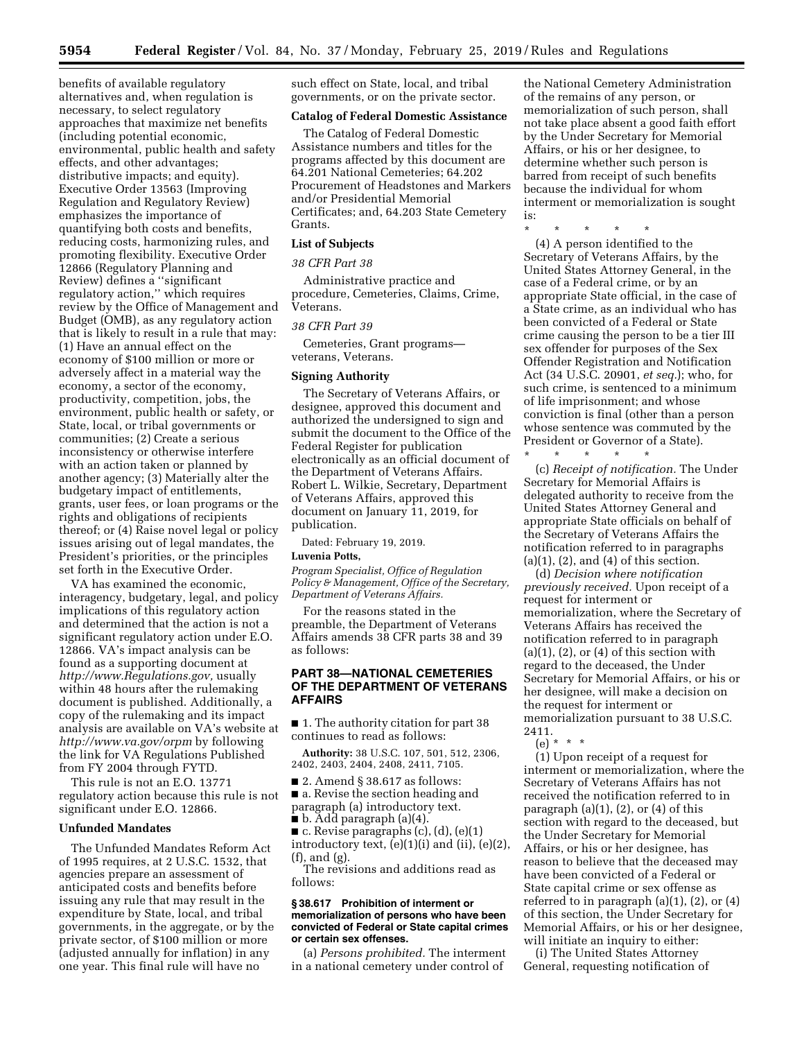benefits of available regulatory alternatives and, when regulation is necessary, to select regulatory approaches that maximize net benefits (including potential economic, environmental, public health and safety effects, and other advantages; distributive impacts; and equity). Executive Order 13563 (Improving Regulation and Regulatory Review) emphasizes the importance of quantifying both costs and benefits, reducing costs, harmonizing rules, and promoting flexibility. Executive Order 12866 (Regulatory Planning and Review) defines a ''significant regulatory action,'' which requires review by the Office of Management and Budget (OMB), as any regulatory action that is likely to result in a rule that may: (1) Have an annual effect on the economy of \$100 million or more or adversely affect in a material way the economy, a sector of the economy, productivity, competition, jobs, the environment, public health or safety, or State, local, or tribal governments or communities; (2) Create a serious inconsistency or otherwise interfere with an action taken or planned by another agency; (3) Materially alter the budgetary impact of entitlements, grants, user fees, or loan programs or the rights and obligations of recipients thereof; or (4) Raise novel legal or policy issues arising out of legal mandates, the President's priorities, or the principles set forth in the Executive Order.

VA has examined the economic, interagency, budgetary, legal, and policy implications of this regulatory action and determined that the action is not a significant regulatory action under E.O. 12866. VA's impact analysis can be found as a supporting document at *[http://www.Regulations.gov,](http://www.Regulations.gov)* usually within 48 hours after the rulemaking document is published. Additionally, a copy of the rulemaking and its impact analysis are available on VA's website at *<http://www.va.gov/orpm>* by following the link for VA Regulations Published from FY 2004 through FYTD.

This rule is not an E.O. 13771 regulatory action because this rule is not significant under E.O. 12866.

### **Unfunded Mandates**

The Unfunded Mandates Reform Act of 1995 requires, at 2 U.S.C. 1532, that agencies prepare an assessment of anticipated costs and benefits before issuing any rule that may result in the expenditure by State, local, and tribal governments, in the aggregate, or by the private sector, of \$100 million or more (adjusted annually for inflation) in any one year. This final rule will have no

such effect on State, local, and tribal governments, or on the private sector.

## **Catalog of Federal Domestic Assistance**

The Catalog of Federal Domestic Assistance numbers and titles for the programs affected by this document are 64.201 National Cemeteries; 64.202 Procurement of Headstones and Markers and/or Presidential Memorial Certificates; and, 64.203 State Cemetery Grants.

### **List of Subjects**

### *38 CFR Part 38*

Administrative practice and procedure, Cemeteries, Claims, Crime, Veterans.

#### *38 CFR Part 39*

Cemeteries, Grant programs veterans, Veterans.

#### **Signing Authority**

The Secretary of Veterans Affairs, or designee, approved this document and authorized the undersigned to sign and submit the document to the Office of the Federal Register for publication electronically as an official document of the Department of Veterans Affairs. Robert L. Wilkie, Secretary, Department of Veterans Affairs, approved this document on January 11, 2019, for publication.

Dated: February 19, 2019.

#### **Luvenia Potts,**

*Program Specialist, Office of Regulation Policy & Management, Office of the Secretary, Department of Veterans Affairs.* 

For the reasons stated in the preamble, the Department of Veterans Affairs amends 38 CFR parts 38 and 39 as follows:

## **PART 38—NATIONAL CEMETERIES OF THE DEPARTMENT OF VETERANS AFFAIRS**

■ 1. The authority citation for part 38 continues to read as follows:

**Authority:** 38 U.S.C. 107, 501, 512, 2306, 2402, 2403, 2404, 2408, 2411, 7105.

■ 2. Amend § 38.617 as follows:

■ a. Revise the section heading and paragraph (a) introductory text.

 $\blacksquare$  b. Add paragraph (a)(4).

 $\blacksquare$  c. Revise paragraphs (c), (d), (e)(1) introductory text,  $(e)(1)(i)$  and  $(ii)$ ,  $(e)(2)$ , (f), and (g).

The revisions and additions read as follows:

#### **§ 38.617 Prohibition of interment or memorialization of persons who have been convicted of Federal or State capital crimes or certain sex offenses.**

(a) *Persons prohibited.* The interment in a national cemetery under control of

the National Cemetery Administration of the remains of any person, or memorialization of such person, shall not take place absent a good faith effort by the Under Secretary for Memorial Affairs, or his or her designee, to determine whether such person is barred from receipt of such benefits because the individual for whom interment or memorialization is sought is:

\* \* \* \* \* (4) A person identified to the Secretary of Veterans Affairs, by the United States Attorney General, in the case of a Federal crime, or by an appropriate State official, in the case of a State crime, as an individual who has been convicted of a Federal or State crime causing the person to be a tier III sex offender for purposes of the Sex Offender Registration and Notification Act (34 U.S.C. 20901, *et seq.*); who, for such crime, is sentenced to a minimum of life imprisonment; and whose conviction is final (other than a person whose sentence was commuted by the President or Governor of a State).

\* \* \* \* \* (c) *Receipt of notification.* The Under Secretary for Memorial Affairs is delegated authority to receive from the United States Attorney General and appropriate State officials on behalf of the Secretary of Veterans Affairs the notification referred to in paragraphs  $(a)(1)$ ,  $(2)$ , and  $(4)$  of this section.

(d) *Decision where notification previously received.* Upon receipt of a request for interment or memorialization, where the Secretary of Veterans Affairs has received the notification referred to in paragraph  $(a)(1)$ ,  $(2)$ , or  $(4)$  of this section with regard to the deceased, the Under Secretary for Memorial Affairs, or his or her designee, will make a decision on the request for interment or memorialization pursuant to 38 U.S.C. 2411.

(e) \* \* \*

(1) Upon receipt of a request for interment or memorialization, where the Secretary of Veterans Affairs has not received the notification referred to in paragraph  $(a)(1)$ ,  $(2)$ , or  $(4)$  of this section with regard to the deceased, but the Under Secretary for Memorial Affairs, or his or her designee, has reason to believe that the deceased may have been convicted of a Federal or State capital crime or sex offense as referred to in paragraph  $(a)(1)$ ,  $(2)$ , or  $(4)$ of this section, the Under Secretary for Memorial Affairs, or his or her designee, will initiate an inquiry to either:

(i) The United States Attorney General, requesting notification of